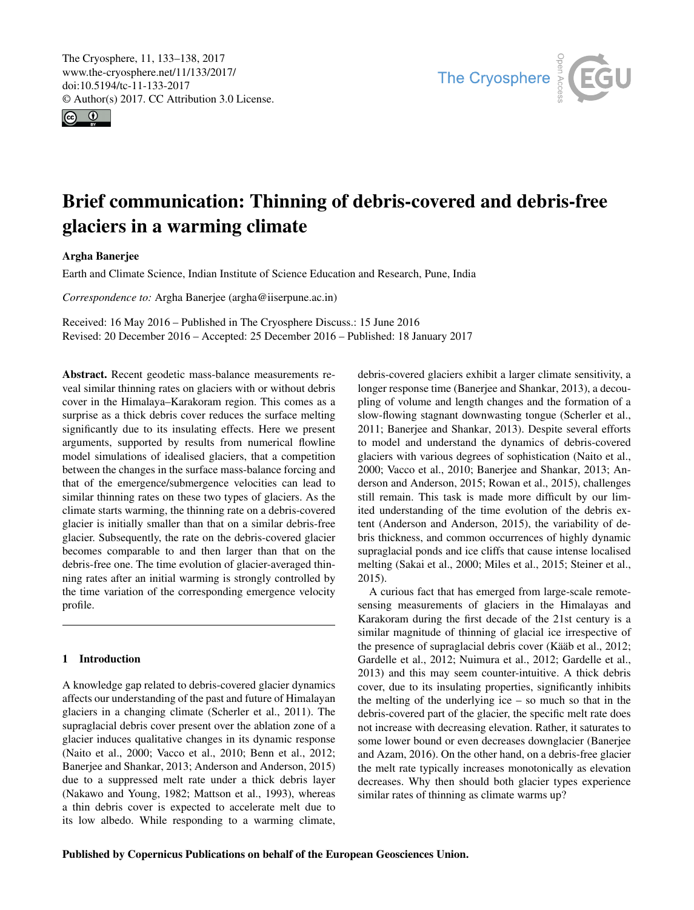<span id="page-0-0"></span>The Cryosphere, 11, 133–138, 2017 www.the-cryosphere.net/11/133/2017/ doi:10.5194/tc-11-133-2017 © Author(s) 2017. CC Attribution 3.0 License.





# Brief communication: Thinning of debris-covered and debris-free glaciers in a warming climate

Argha Banerjee

Earth and Climate Science, Indian Institute of Science Education and Research, Pune, India

*Correspondence to:* Argha Banerjee (argha@iiserpune.ac.in)

Received: 16 May 2016 – Published in The Cryosphere Discuss.: 15 June 2016 Revised: 20 December 2016 – Accepted: 25 December 2016 – Published: 18 January 2017

Abstract. Recent geodetic mass-balance measurements reveal similar thinning rates on glaciers with or without debris cover in the Himalaya–Karakoram region. This comes as a surprise as a thick debris cover reduces the surface melting significantly due to its insulating effects. Here we present arguments, supported by results from numerical flowline model simulations of idealised glaciers, that a competition between the changes in the surface mass-balance forcing and that of the emergence/submergence velocities can lead to similar thinning rates on these two types of glaciers. As the climate starts warming, the thinning rate on a debris-covered glacier is initially smaller than that on a similar debris-free glacier. Subsequently, the rate on the debris-covered glacier becomes comparable to and then larger than that on the debris-free one. The time evolution of glacier-averaged thinning rates after an initial warming is strongly controlled by the time variation of the corresponding emergence velocity profile.

# 1 Introduction

A knowledge gap related to debris-covered glacier dynamics affects our understanding of the past and future of Himalayan glaciers in a changing climate [\(Scherler et al.,](#page-5-0) [2011\)](#page-5-0). The supraglacial debris cover present over the ablation zone of a glacier induces qualitative changes in its dynamic response [\(Naito et al.,](#page-4-0) [2000;](#page-4-0) [Vacco et al.,](#page-5-1) [2010;](#page-5-1) [Benn et al.,](#page-4-1) [2012;](#page-4-1) [Banerjee and Shankar,](#page-4-2) [2013;](#page-4-2) [Anderson and Anderson,](#page-4-3) [2015\)](#page-4-3) due to a suppressed melt rate under a thick debris layer [\(Nakawo and Young,](#page-4-4) [1982;](#page-4-4) [Mattson et al.,](#page-4-5) [1993\)](#page-4-5), whereas a thin debris cover is expected to accelerate melt due to its low albedo. While responding to a warming climate, debris-covered glaciers exhibit a larger climate sensitivity, a longer response time [\(Banerjee and Shankar,](#page-4-2) [2013\)](#page-4-2), a decoupling of volume and length changes and the formation of a slow-flowing stagnant downwasting tongue [\(Scherler et al.,](#page-5-0) [2011;](#page-5-0) [Banerjee and Shankar,](#page-4-2) [2013\)](#page-4-2). Despite several efforts to model and understand the dynamics of debris-covered glaciers with various degrees of sophistication [\(Naito et al.,](#page-4-0) [2000;](#page-4-0) [Vacco et al.,](#page-5-1) [2010;](#page-5-1) [Banerjee and Shankar,](#page-4-2) [2013;](#page-4-2) [An](#page-4-3)[derson and Anderson,](#page-4-3) [2015;](#page-4-3) [Rowan et al.,](#page-4-6) [2015\)](#page-4-6), challenges still remain. This task is made more difficult by our limited understanding of the time evolution of the debris extent [\(Anderson and Anderson,](#page-4-3) [2015\)](#page-4-3), the variability of debris thickness, and common occurrences of highly dynamic supraglacial ponds and ice cliffs that cause intense localised melting [\(Sakai et al.,](#page-4-7) [2000;](#page-4-7) [Miles et al.,](#page-4-8) [2015;](#page-4-8) [Steiner et al.,](#page-5-2) [2015\)](#page-5-2).

A curious fact that has emerged from large-scale remotesensing measurements of glaciers in the Himalayas and Karakoram during the first decade of the 21st century is a similar magnitude of thinning of glacial ice irrespective of the presence of supraglacial debris cover [\(Kääb et al.,](#page-4-9) [2012;](#page-4-9) [Gardelle et al.,](#page-4-10) [2012;](#page-4-10) [Nuimura et al.,](#page-4-11) [2012;](#page-4-11) [Gardelle et al.,](#page-4-12) [2013\)](#page-4-12) and this may seem counter-intuitive. A thick debris cover, due to its insulating properties, significantly inhibits the melting of the underlying ice  $-$  so much so that in the debris-covered part of the glacier, the specific melt rate does not increase with decreasing elevation. Rather, it saturates to some lower bound or even decreases downglacier [\(Banerjee](#page-4-13) [and Azam,](#page-4-13) [2016\)](#page-4-13). On the other hand, on a debris-free glacier the melt rate typically increases monotonically as elevation decreases. Why then should both glacier types experience similar rates of thinning as climate warms up?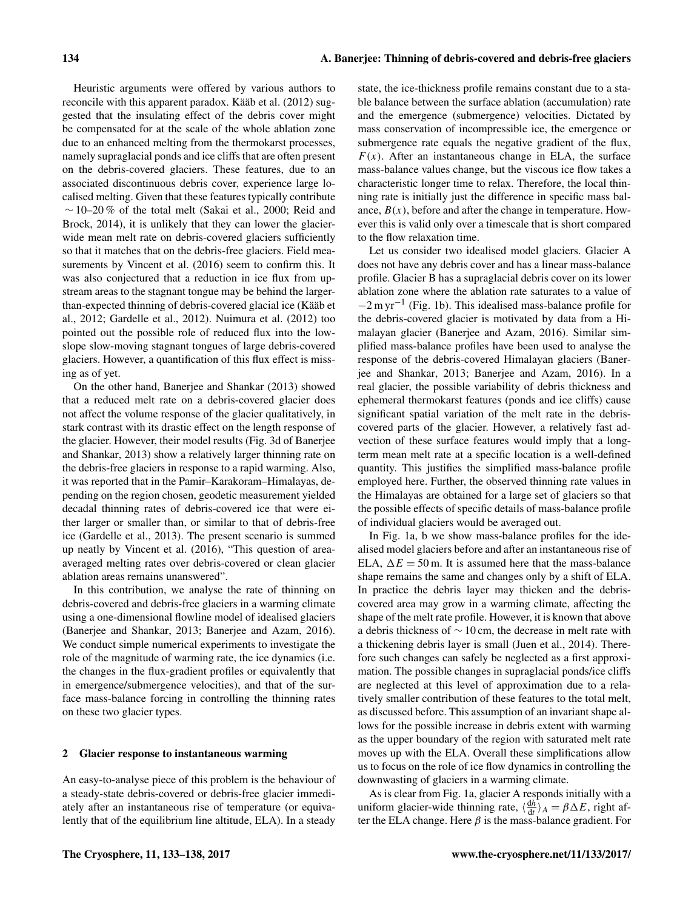Heuristic arguments were offered by various authors to reconcile with this apparent paradox. [Kääb et al.](#page-4-9) [\(2012\)](#page-4-9) suggested that the insulating effect of the debris cover might be compensated for at the scale of the whole ablation zone due to an enhanced melting from the thermokarst processes, namely supraglacial ponds and ice cliffs that are often present on the debris-covered glaciers. These features, due to an associated discontinuous debris cover, experience large localised melting. Given that these features typically contribute  $\sim$  10–20% of the total melt (Sakai et al., 2000; Reid and Brock, 2014), it is unlikely that they can lower the glacierwide mean melt rate on debris-covered glaciers sufficiently so that it matches that on the debris-free glaciers. Field measurements by [Vincent et al.](#page-5-3) [\(2016\)](#page-5-3) seem to confirm this. It was also conjectured that a reduction in ice flux from upstream areas to the stagnant tongue may be behind the largerthan-expected thinning of debris-covered glacial ice [\(Kääb et](#page-4-9) [al.,](#page-4-9) [2012;](#page-4-9) [Gardelle et al.,](#page-4-10) [2012\)](#page-4-10). [Nuimura et al.](#page-4-11) [\(2012\)](#page-4-11) too pointed out the possible role of reduced flux into the lowslope slow-moving stagnant tongues of large debris-covered glaciers. However, a quantification of this flux effect is missing as of yet.

On the other hand, [Banerjee and Shankar](#page-4-2) [\(2013\)](#page-4-2) showed that a reduced melt rate on a debris-covered glacier does not affect the volume response of the glacier qualitatively, in stark contrast with its drastic effect on the length response of the glacier. However, their model results (Fig. 3d of [Banerjee](#page-4-2) [and Shankar,](#page-4-2) [2013\)](#page-4-2) show a relatively larger thinning rate on the debris-free glaciers in response to a rapid warming. Also, it was reported that in the Pamir–Karakoram–Himalayas, depending on the region chosen, geodetic measurement yielded decadal thinning rates of debris-covered ice that were either larger or smaller than, or similar to that of debris-free ice [\(Gardelle et al.,](#page-4-12) [2013\)](#page-4-12). The present scenario is summed up neatly by [Vincent et al.](#page-5-3) [\(2016\)](#page-5-3), "This question of areaaveraged melting rates over debris-covered or clean glacier ablation areas remains unanswered".

In this contribution, we analyse the rate of thinning on debris-covered and debris-free glaciers in a warming climate using a one-dimensional flowline model of idealised glaciers [\(Banerjee and Shankar,](#page-4-2) [2013;](#page-4-2) [Banerjee and Azam,](#page-4-13) [2016\)](#page-4-13). We conduct simple numerical experiments to investigate the role of the magnitude of warming rate, the ice dynamics (i.e. the changes in the flux-gradient profiles or equivalently that in emergence/submergence velocities), and that of the surface mass-balance forcing in controlling the thinning rates on these two glacier types.

# 2 Glacier response to instantaneous warming

An easy-to-analyse piece of this problem is the behaviour of a steady-state debris-covered or debris-free glacier immediately after an instantaneous rise of temperature (or equivalently that of the equilibrium line altitude, ELA). In a steady state, the ice-thickness profile remains constant due to a stable balance between the surface ablation (accumulation) rate and the emergence (submergence) velocities. Dictated by mass conservation of incompressible ice, the emergence or submergence rate equals the negative gradient of the flux,  $F(x)$ . After an instantaneous change in ELA, the surface mass-balance values change, but the viscous ice flow takes a characteristic longer time to relax. Therefore, the local thinning rate is initially just the difference in specific mass balance,  $B(x)$ , before and after the change in temperature. However this is valid only over a timescale that is short compared to the flow relaxation time.

Let us consider two idealised model glaciers. Glacier A does not have any debris cover and has a linear mass-balance profile. Glacier B has a supraglacial debris cover on its lower ablation zone where the ablation rate saturates to a value of −2 m yr−<sup>1</sup> (Fig. 1b). This idealised mass-balance profile for the debris-covered glacier is motivated by data from a Himalayan glacier [\(Banerjee and Azam,](#page-4-13) [2016\)](#page-4-13). Similar simplified mass-balance profiles have been used to analyse the response of the debris-covered Himalayan glaciers [\(Baner](#page-4-2)[jee and Shankar,](#page-4-2) [2013;](#page-4-2) [Banerjee and Azam,](#page-4-13) [2016\)](#page-4-13). In a real glacier, the possible variability of debris thickness and ephemeral thermokarst features (ponds and ice cliffs) cause significant spatial variation of the melt rate in the debriscovered parts of the glacier. However, a relatively fast advection of these surface features would imply that a longterm mean melt rate at a specific location is a well-defined quantity. This justifies the simplified mass-balance profile employed here. Further, the observed thinning rate values in the Himalayas are obtained for a large set of glaciers so that the possible effects of specific details of mass-balance profile of individual glaciers would be averaged out.

In Fig. 1a, b we show mass-balance profiles for the idealised model glaciers before and after an instantaneous rise of ELA,  $\Delta E = 50$  m. It is assumed here that the mass-balance shape remains the same and changes only by a shift of ELA. In practice the debris layer may thicken and the debriscovered area may grow in a warming climate, affecting the shape of the melt rate profile. However, it is known that above a debris thickness of ∼ 10 cm, the decrease in melt rate with a thickening debris layer is small [\(Juen et al.,](#page-4-14) [2014\)](#page-4-14). Therefore such changes can safely be neglected as a first approximation. The possible changes in supraglacial ponds/ice cliffs are neglected at this level of approximation due to a relatively smaller contribution of these features to the total melt, as discussed before. This assumption of an invariant shape allows for the possible increase in debris extent with warming as the upper boundary of the region with saturated melt rate moves up with the ELA. Overall these simplifications allow us to focus on the role of ice flow dynamics in controlling the downwasting of glaciers in a warming climate.

As is clear from Fig. 1a, glacier A responds initially with a uniform glacier-wide thinning rate,  $\left(\frac{dh}{dt}\right)_{A} = \beta \Delta E$ , right after the ELA change. Here  $\beta$  is the mass-balance gradient. For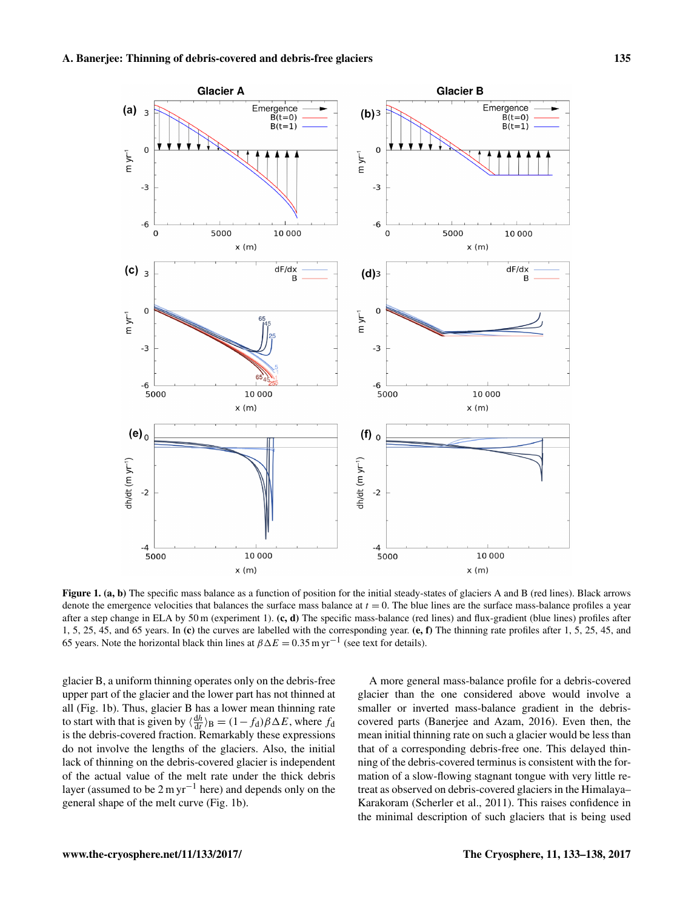

Figure 1. (a, b) The specific mass balance as a function of position for the initial steady-states of glaciers A and B (red lines). Black arrows denote the emergence velocities that balances the surface mass balance at  $t = 0$ . The blue lines are the surface mass-balance profiles a year after a step change in ELA by 50 m (experiment 1).  $(c, d)$  The specific mass-balance (red lines) and flux-gradient (blue lines) profiles after 1, 5, 25, 45, and 65 years. In (c) the curves are labelled with the corresponding year. (e, f) The thinning rate profiles after 1, 5, 25, 45, and 65 years. Note the horizontal black thin lines at  $\beta \Delta E = 0.35$  m yr<sup>-1</sup> (see text for details).

glacier B, a uniform thinning operates only on the debris-free upper part of the glacier and the lower part has not thinned at all (Fig. 1b). Thus, glacier B has a lower mean thinning rate to start with that is given by  $\langle \frac{dh}{dt} \rangle_B = (1 - f_d) \beta \Delta E$ , where  $f_d$ is the debris-covered fraction. Remarkably these expressions do not involve the lengths of the glaciers. Also, the initial lack of thinning on the debris-covered glacier is independent of the actual value of the melt rate under the thick debris layer (assumed to be  $2 \text{ m yr}^{-1}$  here) and depends only on the general shape of the melt curve (Fig. 1b).

A more general mass-balance profile for a debris-covered glacier than the one considered above would involve a smaller or inverted mass-balance gradient in the debriscovered parts [\(Banerjee and Azam,](#page-4-13) [2016\)](#page-4-13). Even then, the mean initial thinning rate on such a glacier would be less than that of a corresponding debris-free one. This delayed thinning of the debris-covered terminus is consistent with the formation of a slow-flowing stagnant tongue with very little retreat as observed on debris-covered glaciers in the Himalaya– Karakoram [\(Scherler et al.,](#page-5-0) [2011\)](#page-5-0). This raises confidence in the minimal description of such glaciers that is being used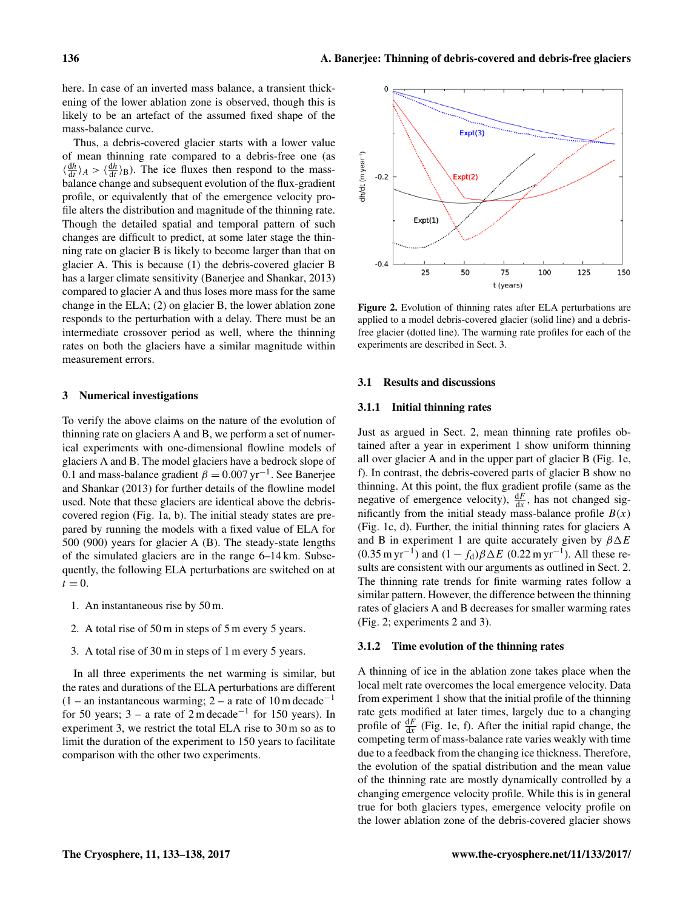here. In case of an inverted mass balance, a transient thickening of the lower ablation zone is observed, though this is likely to be an artefact of the assumed fixed shape of the mass-balance curve.

Thus, a debris-covered glacier starts with a lower value of mean thinning rate compared to a debris-free one (as  $\langle \frac{dh}{dt} \rangle_A > \langle \frac{dh}{dt} \rangle_B$ ). The ice fluxes then respond to the massbalance change and subsequent evolution of the flux-gradient profile, or equivalently that of the emergence velocity profile alters the distribution and magnitude of the thinning rate. Though the detailed spatial and temporal pattern of such changes are difficult to predict, at some later stage the thinning rate on glacier B is likely to become larger than that on glacier A. This is because (1) the debris-covered glacier B has a larger climate sensitivity [\(Banerjee and Shankar,](#page-4-2) [2013\)](#page-4-2) compared to glacier A and thus loses more mass for the same change in the ELA; (2) on glacier B, the lower ablation zone responds to the perturbation with a delay. There must be an intermediate crossover period as well, where the thinning rates on both the glaciers have a similar magnitude within measurement errors.

### 3 Numerical investigations

To verify the above claims on the nature of the evolution of thinning rate on glaciers A and B, we perform a set of numerical experiments with one-dimensional flowline models of glaciers A and B. The model glaciers have a bedrock slope of 0.1 and mass-balance gradient  $\beta = 0.007 \,\text{yr}^{-1}$ . See [Banerjee](#page-4-2) [and Shankar](#page-4-2) [\(2013\)](#page-4-2) for further details of the flowline model used. Note that these glaciers are identical above the debriscovered region (Fig. 1a, b). The initial steady states are prepared by running the models with a fixed value of ELA for 500 (900) years for glacier A (B). The steady-state lengths of the simulated glaciers are in the range 6–14 km. Subsequently, the following ELA perturbations are switched on at  $t = 0$ .

- 1. An instantaneous rise by 50 m.
- 2. A total rise of 50 m in steps of 5 m every 5 years.
- 3. A total rise of 30 m in steps of 1 m every 5 years.

In all three experiments the net warming is similar, but the rates and durations of the ELA perturbations are different (1 – an instantaneous warming; 2 – a rate of 10 m decade−<sup>1</sup> for 50 years;  $3 - a$  rate of  $2 \text{ m}$  decade<sup>-1</sup> for 150 years). In experiment 3, we restrict the total ELA rise to 30 m so as to limit the duration of the experiment to 150 years to facilitate comparison with the other two experiments.



Figure 2. Evolution of thinning rates after ELA perturbations are applied to a model debris-covered glacier (solid line) and a debrisfree glacier (dotted line). The warming rate profiles for each of the experiments are described in Sect. 3.

# 3.1 Results and discussions

## 3.1.1 Initial thinning rates

Just as argued in Sect. 2, mean thinning rate profiles obtained after a year in experiment 1 show uniform thinning all over glacier A and in the upper part of glacier B (Fig. 1e, f). In contrast, the debris-covered parts of glacier B show no thinning. At this point, the flux gradient profile (same as the negative of emergence velocity),  $\frac{dF}{dx}$ , has not changed significantly from the initial steady mass-balance profile  $B(x)$ (Fig. 1c, d). Further, the initial thinning rates for glaciers A and B in experiment 1 are quite accurately given by  $\beta \Delta E$  $(0.35 \,\text{m}\,\text{yr}^{-1})$  and  $(1 - f_d)\beta \Delta E$   $(0.22 \,\text{m}\,\text{yr}^{-1})$ . All these results are consistent with our arguments as outlined in Sect. 2. The thinning rate trends for finite warming rates follow a similar pattern. However, the difference between the thinning rates of glaciers A and B decreases for smaller warming rates (Fig. 2; experiments 2 and 3).

#### 3.1.2 Time evolution of the thinning rates

A thinning of ice in the ablation zone takes place when the local melt rate overcomes the local emergence velocity. Data from experiment 1 show that the initial profile of the thinning rate gets modified at later times, largely due to a changing profile of  $\frac{dF}{dx}$  (Fig. 1e, f). After the initial rapid change, the competing term of mass-balance rate varies weakly with time due to a feedback from the changing ice thickness. Therefore, the evolution of the spatial distribution and the mean value of the thinning rate are mostly dynamically controlled by a changing emergence velocity profile. While this is in general true for both glaciers types, emergence velocity profile on the lower ablation zone of the debris-covered glacier shows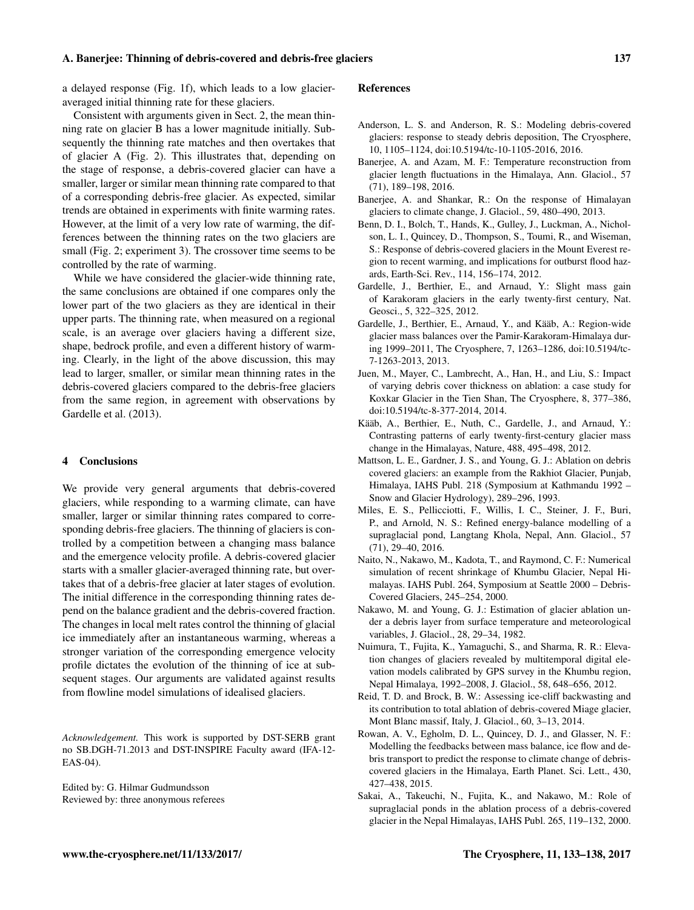#### A. Banerjee: Thinning of debris-covered and debris-free glaciers 137

a delayed response (Fig. 1f), which leads to a low glacieraveraged initial thinning rate for these glaciers.

Consistent with arguments given in Sect. 2, the mean thinning rate on glacier B has a lower magnitude initially. Subsequently the thinning rate matches and then overtakes that of glacier A (Fig. 2). This illustrates that, depending on the stage of response, a debris-covered glacier can have a smaller, larger or similar mean thinning rate compared to that of a corresponding debris-free glacier. As expected, similar trends are obtained in experiments with finite warming rates. However, at the limit of a very low rate of warming, the differences between the thinning rates on the two glaciers are small (Fig. 2; experiment 3). The crossover time seems to be controlled by the rate of warming.

While we have considered the glacier-wide thinning rate, the same conclusions are obtained if one compares only the lower part of the two glaciers as they are identical in their upper parts. The thinning rate, when measured on a regional scale, is an average over glaciers having a different size, shape, bedrock profile, and even a different history of warming. Clearly, in the light of the above discussion, this may lead to larger, smaller, or similar mean thinning rates in the debris-covered glaciers compared to the debris-free glaciers from the same region, in agreement with observations by [Gardelle et al.](#page-4-12) [\(2013\)](#page-4-12).

# 4 Conclusions

We provide very general arguments that debris-covered glaciers, while responding to a warming climate, can have smaller, larger or similar thinning rates compared to corresponding debris-free glaciers. The thinning of glaciers is controlled by a competition between a changing mass balance and the emergence velocity profile. A debris-covered glacier starts with a smaller glacier-averaged thinning rate, but overtakes that of a debris-free glacier at later stages of evolution. The initial difference in the corresponding thinning rates depend on the balance gradient and the debris-covered fraction. The changes in local melt rates control the thinning of glacial ice immediately after an instantaneous warming, whereas a stronger variation of the corresponding emergence velocity profile dictates the evolution of the thinning of ice at subsequent stages. Our arguments are validated against results from flowline model simulations of idealised glaciers.

*Acknowledgement.* This work is supported by DST-SERB grant no SB.DGH-71.2013 and DST-INSPIRE Faculty award (IFA-12- EAS-04).

Edited by: G. Hilmar Gudmundsson Reviewed by: three anonymous referees

#### References

- <span id="page-4-3"></span>Anderson, L. S. and Anderson, R. S.: Modeling debris-covered glaciers: response to steady debris deposition, The Cryosphere, 10, 1105–1124, doi[:10.5194/tc-10-1105-2016,](http://dx.doi.org/10.5194/tc-10-1105-2016) 2016.
- <span id="page-4-13"></span>Banerjee, A. and Azam, M. F.: Temperature reconstruction from glacier length fluctuations in the Himalaya, Ann. Glaciol., 57 (71), 189–198, 2016.
- <span id="page-4-2"></span>Banerjee, A. and Shankar, R.: On the response of Himalayan glaciers to climate change, J. Glaciol., 59, 480–490, 2013.
- <span id="page-4-1"></span>Benn, D. I., Bolch, T., Hands, K., Gulley, J., Luckman, A., Nicholson, L. I., Quincey, D., Thompson, S., Toumi, R., and Wiseman, S.: Response of debris-covered glaciers in the Mount Everest region to recent warming, and implications for outburst flood hazards, Earth-Sci. Rev., 114, 156–174, 2012.
- <span id="page-4-10"></span>Gardelle, J., Berthier, E., and Arnaud, Y.: Slight mass gain of Karakoram glaciers in the early twenty-first century, Nat. Geosci., 5, 322–325, 2012.
- <span id="page-4-12"></span>Gardelle, J., Berthier, E., Arnaud, Y., and Kääb, A.: Region-wide glacier mass balances over the Pamir-Karakoram-Himalaya during 1999–2011, The Cryosphere, 7, 1263–1286, doi[:10.5194/tc-](http://dx.doi.org/10.5194/tc-7-1263-2013)[7-1263-2013,](http://dx.doi.org/10.5194/tc-7-1263-2013) 2013.
- <span id="page-4-14"></span>Juen, M., Mayer, C., Lambrecht, A., Han, H., and Liu, S.: Impact of varying debris cover thickness on ablation: a case study for Koxkar Glacier in the Tien Shan, The Cryosphere, 8, 377–386, doi[:10.5194/tc-8-377-2014,](http://dx.doi.org/10.5194/tc-8-377-2014) 2014.
- <span id="page-4-9"></span>Kääb, A., Berthier, E., Nuth, C., Gardelle, J., and Arnaud, Y.: Contrasting patterns of early twenty-first-century glacier mass change in the Himalayas, Nature, 488, 495–498, 2012.
- <span id="page-4-5"></span>Mattson, L. E., Gardner, J. S., and Young, G. J.: Ablation on debris covered glaciers: an example from the Rakhiot Glacier, Punjab, Himalaya, IAHS Publ. 218 (Symposium at Kathmandu 1992 – Snow and Glacier Hydrology), 289–296, 1993.
- <span id="page-4-8"></span>Miles, E. S., Pellicciotti, F., Willis, I. C., Steiner, J. F., Buri, P., and Arnold, N. S.: Refined energy-balance modelling of a supraglacial pond, Langtang Khola, Nepal, Ann. Glaciol., 57 (71), 29–40, 2016.
- <span id="page-4-0"></span>Naito, N., Nakawo, M., Kadota, T., and Raymond, C. F.: Numerical simulation of recent shrinkage of Khumbu Glacier, Nepal Himalayas. IAHS Publ. 264, Symposium at Seattle 2000 – Debris-Covered Glaciers, 245–254, 2000.
- <span id="page-4-4"></span>Nakawo, M. and Young, G. J.: Estimation of glacier ablation under a debris layer from surface temperature and meteorological variables, J. Glaciol., 28, 29–34, 1982.
- <span id="page-4-11"></span>Nuimura, T., Fujita, K., Yamaguchi, S., and Sharma, R. R.: Elevation changes of glaciers revealed by multitemporal digital elevation models calibrated by GPS survey in the Khumbu region, Nepal Himalaya, 1992–2008, J. Glaciol., 58, 648–656, 2012.
- Reid, T. D. and Brock, B. W.: Assessing ice-cliff backwasting and its contribution to total ablation of debris-covered Miage glacier, Mont Blanc massif, Italy, J. Glaciol., 60, 3–13, 2014.
- <span id="page-4-6"></span>Rowan, A. V., Egholm, D. L., Quincey, D. J., and Glasser, N. F.: Modelling the feedbacks between mass balance, ice flow and debris transport to predict the response to climate change of debriscovered glaciers in the Himalaya, Earth Planet. Sci. Lett., 430, 427–438, 2015.
- <span id="page-4-7"></span>Sakai, A., Takeuchi, N., Fujita, K., and Nakawo, M.: Role of supraglacial ponds in the ablation process of a debris-covered glacier in the Nepal Himalayas, IAHS Publ. 265, 119–132, 2000.